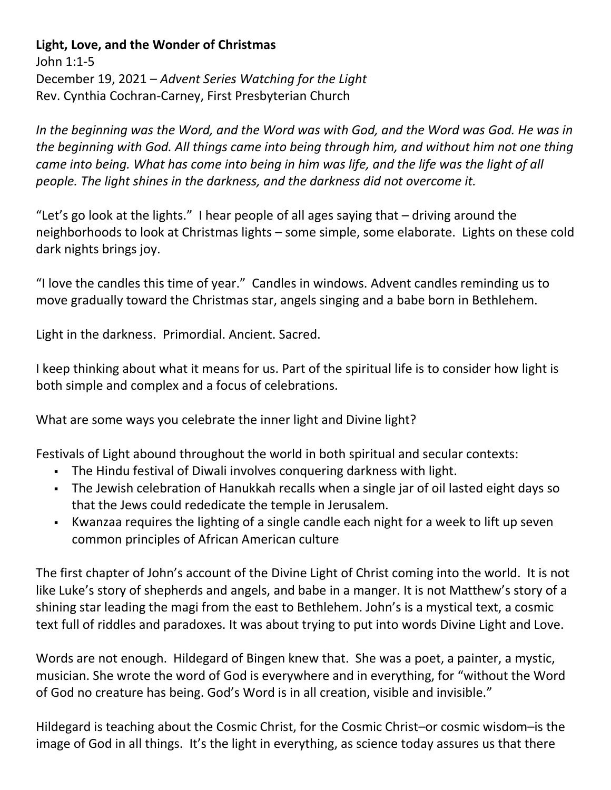## **Light, Love, and the Wonder of Christmas**

John 1:1-5 December 19, 2021 – *Advent Series Watching for the Light* Rev. Cynthia Cochran-Carney, First Presbyterian Church

*In the beginning was the Word, and the Word was with God, and the Word was God. He was in the beginning with God. All things came into being through him, and without him not one thing came into being. What has come into being in him was life, and the life was the light of all people. The light shines in the darkness, and the darkness did not overcome it.*

"Let's go look at the lights." I hear people of all ages saying that – driving around the neighborhoods to look at Christmas lights – some simple, some elaborate. Lights on these cold dark nights brings joy.

"I love the candles this time of year." Candles in windows. Advent candles reminding us to move gradually toward the Christmas star, angels singing and a babe born in Bethlehem.

Light in the darkness. Primordial. Ancient. Sacred.

I keep thinking about what it means for us. Part of the spiritual life is to consider how light is both simple and complex and a focus of celebrations.

What are some ways you celebrate the inner light and Divine light?

Festivals of Light abound throughout the world in both spiritual and secular contexts:

- The Hindu festival of Diwali involves conquering darkness with light.
- The Jewish celebration of Hanukkah recalls when a single jar of oil lasted eight days so that the Jews could rededicate the temple in Jerusalem.
- Kwanzaa requires the lighting of a single candle each night for a week to lift up seven common principles of African American culture

The first chapter of John's account of the Divine Light of Christ coming into the world. It is not like Luke's story of shepherds and angels, and babe in a manger. It is not Matthew's story of a shining star leading the magi from the east to Bethlehem. John's is a mystical text, a cosmic text full of riddles and paradoxes. It was about trying to put into words Divine Light and Love.

Words are not enough. Hildegard of Bingen knew that. She was a poet, a painter, a mystic, musician. She wrote the word of God is everywhere and in everything, for "without the Word of God no creature has being. God's Word is in all creation, visible and invisible."

Hildegard is teaching about the Cosmic Christ, for the Cosmic Christ–or cosmic wisdom–is the image of God in all things. It's the light in everything, as science today assures us that there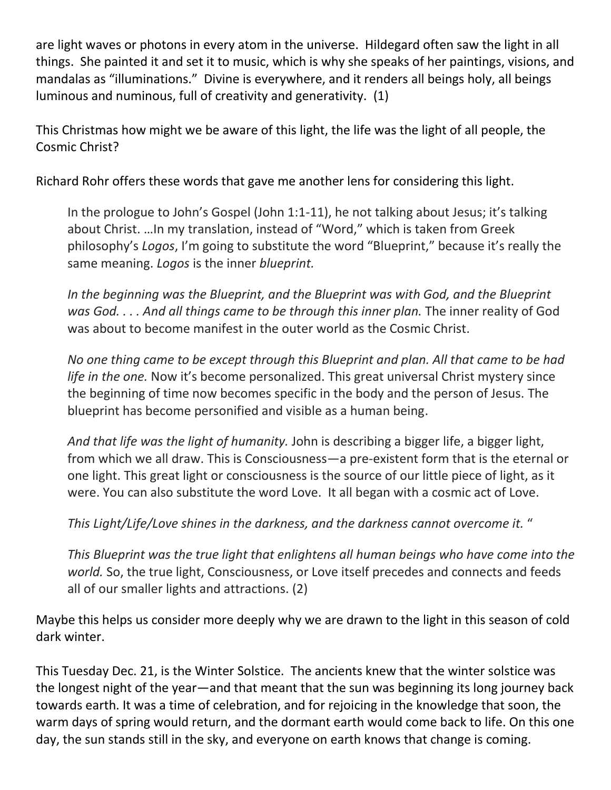are light waves or photons in every atom in the universe. Hildegard often saw the light in all things. She painted it and set it to music, which is why she speaks of her paintings, visions, and mandalas as "illuminations." Divine is everywhere, and it renders all beings holy, all beings luminous and numinous, full of creativity and generativity. (1)

This Christmas how might we be aware of this light, the life was the light of all people, the Cosmic Christ?

Richard Rohr offers these words that gave me another lens for considering this light.

In the prologue to John's Gospel (John 1:1-11), he not talking about Jesus; it's talking about Christ. …In my translation, instead of "Word," which is taken from Greek philosophy's *Logos*, I'm going to substitute the word "Blueprint," because it's really the same meaning. *Logos* is the inner *blueprint.*

*In the beginning was the Blueprint, and the Blueprint was with God, and the Blueprint was God. . . . And all things came to be through this inner plan.* The inner reality of God was about to become manifest in the outer world as the Cosmic Christ.

*No one thing came to be except through this Blueprint and plan. All that came to be had life in the one.* Now it's become personalized. This great universal Christ mystery since the beginning of time now becomes specific in the body and the person of Jesus. The blueprint has become personified and visible as a human being.

*And that life was the light of humanity.* John is describing a bigger life, a bigger light, from which we all draw. This is Consciousness—a pre-existent form that is the eternal or one light. This great light or consciousness is the source of our little piece of light, as it were. You can also substitute the word Love. It all began with a cosmic act of Love.

*This Light/Life/Love shines in the darkness, and the darkness cannot overcome it.* "

*This Blueprint was the true light that enlightens all human beings who have come into the world.* So, the true light, Consciousness, or Love itself precedes and connects and feeds all of our smaller lights and attractions. (2)

Maybe this helps us consider more deeply why we are drawn to the light in this season of cold dark winter.

This Tuesday Dec. 21, is the Winter Solstice. The ancients knew that the winter solstice was the longest night of the year—and that meant that the sun was beginning its long journey back towards earth. It was a time of celebration, and for rejoicing in the knowledge that soon, the warm days of spring would return, and the dormant earth would come back to life. On this one day, the sun stands still in the sky, and everyone on earth knows that change is coming.